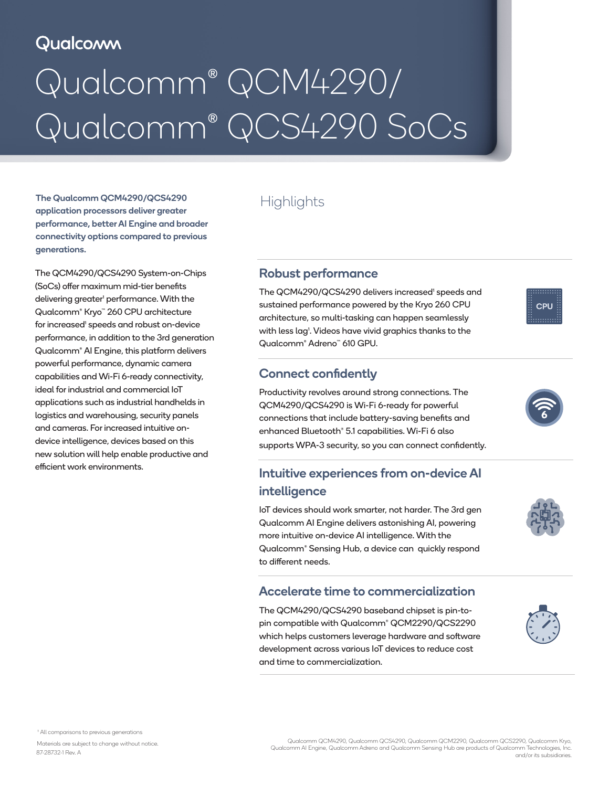# Qualcomm

# Qualcomm® QCM4290/ Qualcomm® QCS4290 SoCs

The Qualcomm QCM4290/QCS4290 Highlights application processors deliver greater performance, better AI Engine and broader connectivity options compared to previous generations.

The QCM4290/QCS4290 System-on-Chips (SoCs) offer maximum mid-tier benefits delivering greater<sup>1</sup> performance. With the Qualcomm® Kryo™ 260 CPU architecture for increased' speeds and robust on-device performance, in addition to the 3rd generation Qualcomm® AI Engine, this platform delivers powerful performance, dynamic camera capabilities and Wi-Fi 6-ready connectivity, ideal for industrial and commercial IoT applications such as industrial handhelds in logistics and warehousing, security panels and cameras. For increased intuitive ondevice intelligence, devices based on this new solution will help enable productive and efficient work environments.

#### Robust performance

The QCM4290/QCS4290 delivers increased<sup>1</sup> speeds and sustained performance powered by the Kryo 260 CPU architecture, so multi-tasking can happen seamlessly with less lag<sup>1</sup>. Videos have vivid graphics thanks to the Qualcomm® Adreno™ 610 GPU.

#### Connect confidently

Productivity revolves around strong connections. The QCM4290/QCS4290 is Wi-Fi 6-ready for powerful connections that include battery-saving benefits and enhanced Bluetooth® 5.1 capabilities. Wi-Fi 6 also supports WPA-3 security, so you can connect confidently.

### Intuitive experiences from on-device AI intelligence

IoT devices should work smarter, not harder. The 3rd gen Qualcomm AI Engine delivers astonishing AI, powering more intuitive on-device AI intelligence. With the Qualcomm® Sensing Hub, a device can quickly respond to different needs.

#### Accelerate time to commercialization

The QCM4290/QCS4290 baseband chipset is pin-topin compatible with Qualcomm® QCM2290/QCS2290 which helps customers leverage hardware and software development across various IoT devices to reduce cost and time to commercialization.





CPU



Materials are subject to change without notice. Qualcomm QCM4290, Qualcomm QCS4290, Qualcomm QCM2290, Qualcomm QCS2290, Qualcomm Kryo, Qualcomm AI Engine, Qualcomm Adreno and Qualcomm Sensing Hub are products of Qualcomm Technologies, Inc. and/or its subsidiaries. 87-28732-1 Rev. A